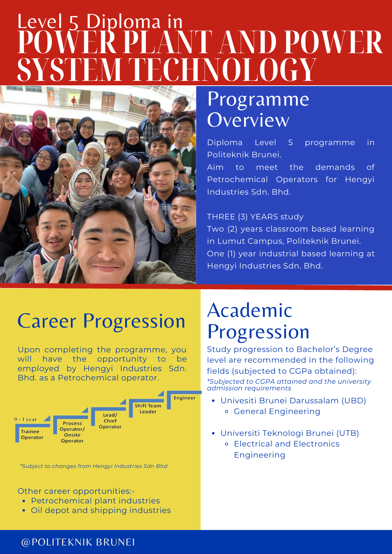# **POWER PLANT AND POWER SYSTEM TECHNOLOGY** Level 5 Diploma in



# Programme **Overview**

Diploma Level 5 programme in Politeknik Brunei.

Aim to meet the demands of Petrochemical Operators for Hengyi Industries Sdn. Bhd.

#### THREE (3) YEARS study

Two (2) years classroom based learning in Lumut Campus, Politeknik Brunei. One (1) year industrial based learning at Hengyi Industries Sdn. Bhd.

## Career Progression

Upon completing the programme, you will have the opportunity to be employed by Hengyi Industries Sdn. Bhd. as a Petrochemical operator.



*\*Subject to changes from Hengyi Industries Sdn Bhd*

#### Other career opportunities:-

- Petrochemical plant industries
- Oil depot and shipping industries

# Academic Progression

Study progression to Bachelor's Degree level are recommended in the following fields (subjected to CGPa obtained): *\*Subjected to CGPA attained and the university admission requirements*

- Univesiti Brunei Darussalam (UBD) o General Engineering
- Universiti Teknologi Brunei (UTB)
	- Electrical and Electronics Engineering

### @POLITEKNIK BRUNEI